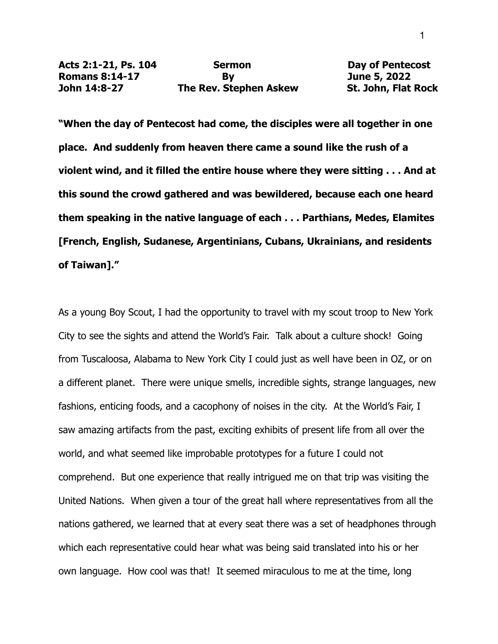**"When the day of Pentecost had come, the disciples were all together in one place. And suddenly from heaven there came a sound like the rush of a violent wind, and it filled the entire house where they were sitting . . . And at this sound the crowd gathered and was bewildered, because each one heard them speaking in the native language of each . . . Parthians, Medes, Elamites [French, English, Sudanese, Argentinians, Cubans, Ukrainians, and residents of Taiwan]."**

As a young Boy Scout, I had the opportunity to travel with my scout troop to New York City to see the sights and attend the World's Fair. Talk about a culture shock! Going from Tuscaloosa, Alabama to New York City I could just as well have been in OZ, or on a different planet. There were unique smells, incredible sights, strange languages, new fashions, enticing foods, and a cacophony of noises in the city. At the World's Fair, I saw amazing artifacts from the past, exciting exhibits of present life from all over the world, and what seemed like improbable prototypes for a future I could not comprehend. But one experience that really intrigued me on that trip was visiting the United Nations. When given a tour of the great hall where representatives from all the nations gathered, we learned that at every seat there was a set of headphones through which each representative could hear what was being said translated into his or her own language. How cool was that! It seemed miraculous to me at the time, long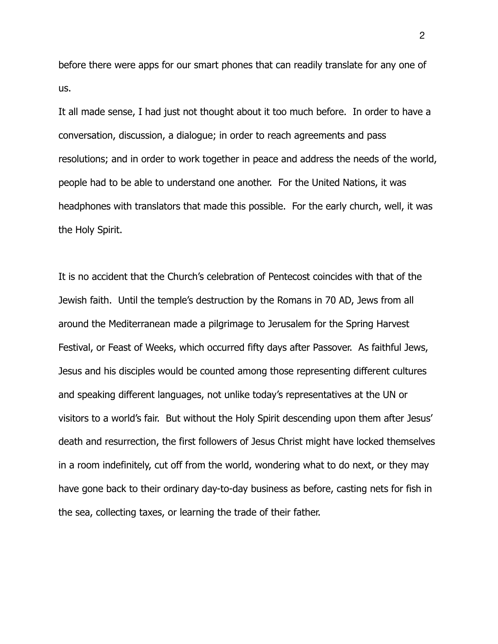before there were apps for our smart phones that can readily translate for any one of us.

It all made sense, I had just not thought about it too much before. In order to have a conversation, discussion, a dialogue; in order to reach agreements and pass resolutions; and in order to work together in peace and address the needs of the world, people had to be able to understand one another. For the United Nations, it was headphones with translators that made this possible. For the early church, well, it was the Holy Spirit.

It is no accident that the Church's celebration of Pentecost coincides with that of the Jewish faith. Until the temple's destruction by the Romans in 70 AD, Jews from all around the Mediterranean made a pilgrimage to Jerusalem for the Spring Harvest Festival, or Feast of Weeks, which occurred fifty days after Passover. As faithful Jews, Jesus and his disciples would be counted among those representing different cultures and speaking different languages, not unlike today's representatives at the UN or visitors to a world's fair. But without the Holy Spirit descending upon them after Jesus' death and resurrection, the first followers of Jesus Christ might have locked themselves in a room indefinitely, cut off from the world, wondering what to do next, or they may have gone back to their ordinary day-to-day business as before, casting nets for fish in the sea, collecting taxes, or learning the trade of their father.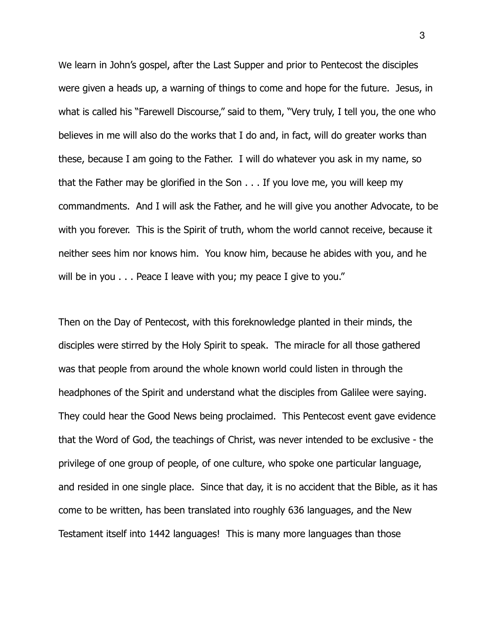We learn in John's gospel, after the Last Supper and prior to Pentecost the disciples were given a heads up, a warning of things to come and hope for the future. Jesus, in what is called his "Farewell Discourse," said to them, "Very truly, I tell you, the one who believes in me will also do the works that I do and, in fact, will do greater works than these, because I am going to the Father. I will do whatever you ask in my name, so that the Father may be glorified in the Son . . . If you love me, you will keep my commandments. And I will ask the Father, and he will give you another Advocate, to be with you forever. This is the Spirit of truth, whom the world cannot receive, because it neither sees him nor knows him. You know him, because he abides with you, and he will be in you . . . Peace I leave with you; my peace I give to you."

Then on the Day of Pentecost, with this foreknowledge planted in their minds, the disciples were stirred by the Holy Spirit to speak. The miracle for all those gathered was that people from around the whole known world could listen in through the headphones of the Spirit and understand what the disciples from Galilee were saying. They could hear the Good News being proclaimed. This Pentecost event gave evidence that the Word of God, the teachings of Christ, was never intended to be exclusive - the privilege of one group of people, of one culture, who spoke one particular language, and resided in one single place. Since that day, it is no accident that the Bible, as it has come to be written, has been translated into roughly 636 languages, and the New Testament itself into 1442 languages! This is many more languages than those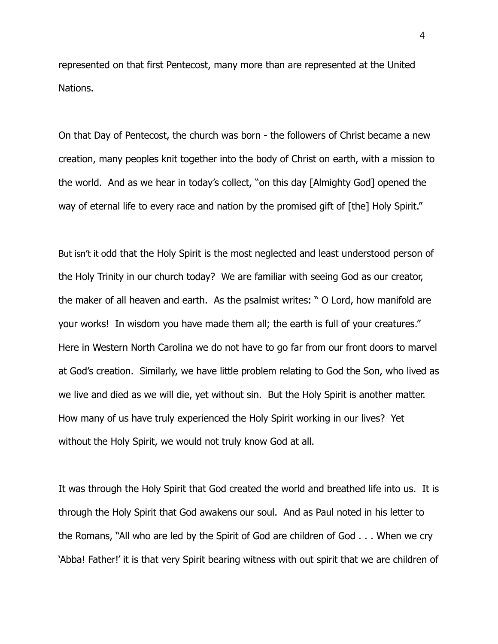represented on that first Pentecost, many more than are represented at the United Nations.

On that Day of Pentecost, the church was born - the followers of Christ became a new creation, many peoples knit together into the body of Christ on earth, with a mission to the world. And as we hear in today's collect, "on this day [Almighty God] opened the way of eternal life to every race and nation by the promised gift of [the] Holy Spirit."

But isn't it odd that the Holy Spirit is the most neglected and least understood person of the Holy Trinity in our church today? We are familiar with seeing God as our creator, the maker of all heaven and earth. As the psalmist writes: " O Lord, how manifold are your works! In wisdom you have made them all; the earth is full of your creatures." Here in Western North Carolina we do not have to go far from our front doors to marvel at God's creation. Similarly, we have little problem relating to God the Son, who lived as we live and died as we will die, yet without sin. But the Holy Spirit is another matter. How many of us have truly experienced the Holy Spirit working in our lives? Yet without the Holy Spirit, we would not truly know God at all.

It was through the Holy Spirit that God created the world and breathed life into us. It is through the Holy Spirit that God awakens our soul. And as Paul noted in his letter to the Romans, "All who are led by the Spirit of God are children of God . . . When we cry 'Abba! Father!' it is that very Spirit bearing witness with out spirit that we are children of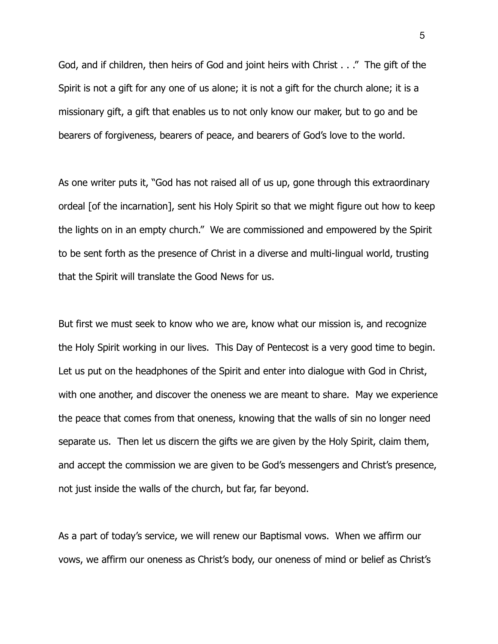God, and if children, then heirs of God and joint heirs with Christ . . ." The gift of the Spirit is not a gift for any one of us alone; it is not a gift for the church alone; it is a missionary gift, a gift that enables us to not only know our maker, but to go and be bearers of forgiveness, bearers of peace, and bearers of God's love to the world.

As one writer puts it, "God has not raised all of us up, gone through this extraordinary ordeal [of the incarnation], sent his Holy Spirit so that we might figure out how to keep the lights on in an empty church." We are commissioned and empowered by the Spirit to be sent forth as the presence of Christ in a diverse and multi-lingual world, trusting that the Spirit will translate the Good News for us.

But first we must seek to know who we are, know what our mission is, and recognize the Holy Spirit working in our lives. This Day of Pentecost is a very good time to begin. Let us put on the headphones of the Spirit and enter into dialogue with God in Christ, with one another, and discover the oneness we are meant to share. May we experience the peace that comes from that oneness, knowing that the walls of sin no longer need separate us. Then let us discern the gifts we are given by the Holy Spirit, claim them, and accept the commission we are given to be God's messengers and Christ's presence, not just inside the walls of the church, but far, far beyond.

As a part of today's service, we will renew our Baptismal vows. When we affirm our vows, we affirm our oneness as Christ's body, our oneness of mind or belief as Christ's